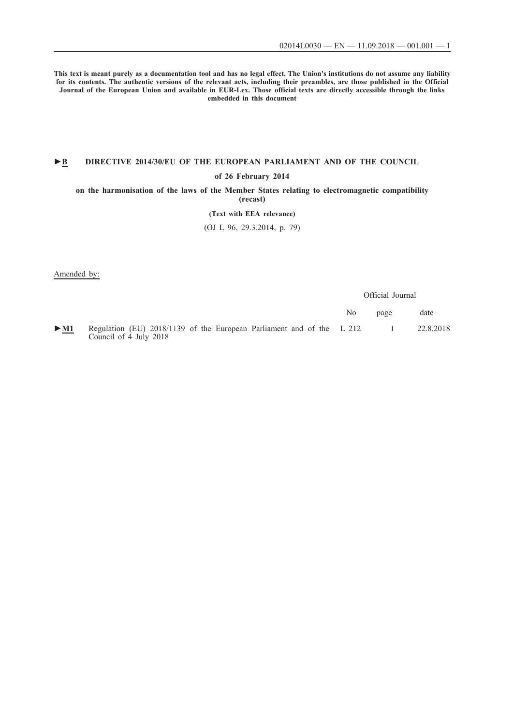**This text is meant purely as a documentation tool and has no legal effect. The Union's institutions do not assume any liability for its contents. The authentic versions of the relevant acts, including their preambles, are those published in the Official Journal of the European Union and available in EUR-Lex. Those official texts are directly accessible through the links embedded in this document**

## **►B [DIRECTIVE 2014/30/EU OF THE EUROPEAN PARLIAMENT AND OF THE COUNCIL](http://data.europa.eu/eli/dir/2014/30/oj/eng)**

#### **[of 26 February 2014](http://data.europa.eu/eli/dir/2014/30/oj/eng)**

**[on the harmonisation of the laws of the Member States relating to electromagnetic compatibility](http://data.europa.eu/eli/dir/2014/30/oj/eng) [\(recast\)](http://data.europa.eu/eli/dir/2014/30/oj/eng)**

## **[\(Text with EEA relevance\)](http://data.europa.eu/eli/dir/2014/30/oj/eng)**

[\(OJ L 96, 29.3.2014, p. 79\)](http://data.europa.eu/eli/dir/2014/30/oj/eng)

Amended by:

Official Journal No page date [►](http://data.europa.eu/eli/reg/2018/1139/oj/eng)**[M1](http://data.europa.eu/eli/reg/2018/1139/oj/eng)** [Regulation \(EU\) 2018/1139 of the European Parliament and of the](http://data.europa.eu/eli/reg/2018/1139/oj/eng) [Council of 4 July 2018](http://data.europa.eu/eli/reg/2018/1139/oj/eng) [L 212 1 22.8.2018](http://data.europa.eu/eli/reg/2018/1139/oj/eng)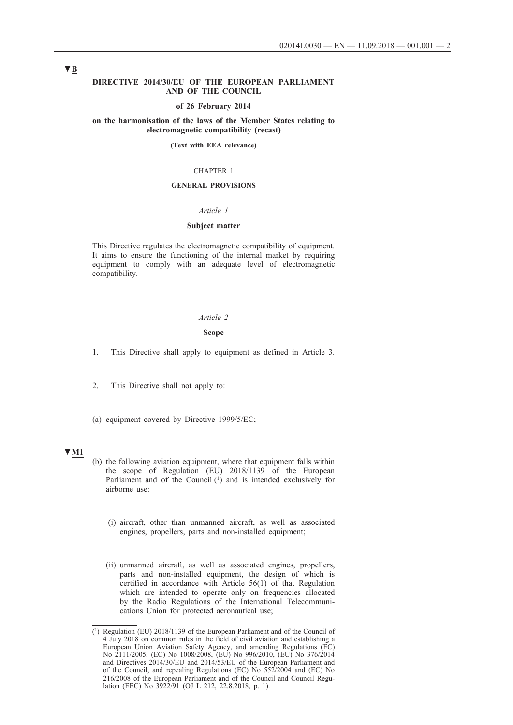### **DIRECTIVE 2014/30/EU OF THE EUROPEAN PARLIAMENT AND OF THE COUNCIL**

#### **of 26 February 2014**

### **on the harmonisation of the laws of the Member States relating to electromagnetic compatibility (recast)**

#### **(Text with EEA relevance)**

#### CHAPTER 1

#### **GENERAL PROVISIONS**

#### *Article 1*

### **Subject matter**

This Directive regulates the electromagnetic compatibility of equipment. It aims to ensure the functioning of the internal market by requiring equipment to comply with an adequate level of electromagnetic compatibility.

## *Article 2*

#### **Scope**

1. This Directive shall apply to equipment as defined in Article 3.

2. This Directive shall not apply to:

(a) equipment covered by Directive 1999/5/EC;

## **▼M1**

- (b) the following aviation equipment, where that equipment falls within the scope of Regulation (EU) 2018/1139 of the European Parliament and of the Council  $(1)$  and is intended exclusively for airborne use:
	- (i) aircraft, other than unmanned aircraft, as well as associated engines, propellers, parts and non-installed equipment;
	- (ii) unmanned aircraft, as well as associated engines, propellers, parts and non-installed equipment, the design of which is certified in accordance with Article 56(1) of that Regulation which are intended to operate only on frequencies allocated by the Radio Regulations of the International Telecommunications Union for protected aeronautical use;

<sup>(1)</sup> Regulation (EU) 2018/1139 of the European Parliament and of the Council of 4 July 2018 on common rules in the field of civil aviation and establishing a European Union Aviation Safety Agency, and amending Regulations (EC) No 2111/2005, (EC) No 1008/2008, (EU) No 996/2010, (EU) No 376/2014 and Directives 2014/30/EU and 2014/53/EU of the European Parliament and of the Council, and repealing Regulations (EC) No 552/2004 and (EC) No 216/2008 of the European Parliament and of the Council and Council Regulation (EEC) No 3922/91 (OJ L 212, 22.8.2018, p. 1).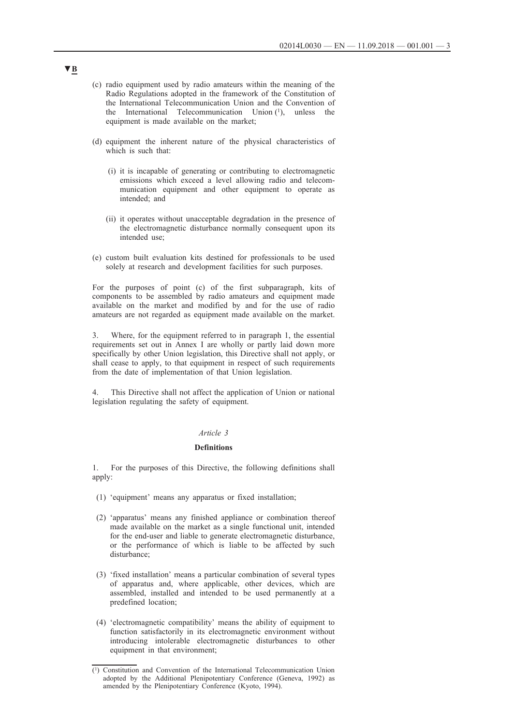- (c) radio equipment used by radio amateurs within the meaning of the Radio Regulations adopted in the framework of the Constitution of the International Telecommunication Union and the Convention of the International Telecommunication Union (1), unless the equipment is made available on the market;
- (d) equipment the inherent nature of the physical characteristics of which is such that:
	- (i) it is incapable of generating or contributing to electromagnetic emissions which exceed a level allowing radio and telecommunication equipment and other equipment to operate as intended; and
	- (ii) it operates without unacceptable degradation in the presence of the electromagnetic disturbance normally consequent upon its intended use;
- (e) custom built evaluation kits destined for professionals to be used solely at research and development facilities for such purposes.

For the purposes of point (c) of the first subparagraph, kits of components to be assembled by radio amateurs and equipment made available on the market and modified by and for the use of radio amateurs are not regarded as equipment made available on the market.

3. Where, for the equipment referred to in paragraph 1, the essential requirements set out in Annex I are wholly or partly laid down more specifically by other Union legislation, this Directive shall not apply, or shall cease to apply, to that equipment in respect of such requirements from the date of implementation of that Union legislation.

4. This Directive shall not affect the application of Union or national legislation regulating the safety of equipment.

## *Article 3*

## **Definitions**

1. For the purposes of this Directive, the following definitions shall apply:

- (1) 'equipment' means any apparatus or fixed installation;
- (2) 'apparatus' means any finished appliance or combination thereof made available on the market as a single functional unit, intended for the end-user and liable to generate electromagnetic disturbance, or the performance of which is liable to be affected by such disturbance;
- (3) 'fixed installation' means a particular combination of several types of apparatus and, where applicable, other devices, which are assembled, installed and intended to be used permanently at a predefined location;
- (4) 'electromagnetic compatibility' means the ability of equipment to function satisfactorily in its electromagnetic environment without introducing intolerable electromagnetic disturbances to other equipment in that environment;

<sup>(1)</sup> Constitution and Convention of the International Telecommunication Union adopted by the Additional Plenipotentiary Conference (Geneva, 1992) as amended by the Plenipotentiary Conference (Kyoto, 1994).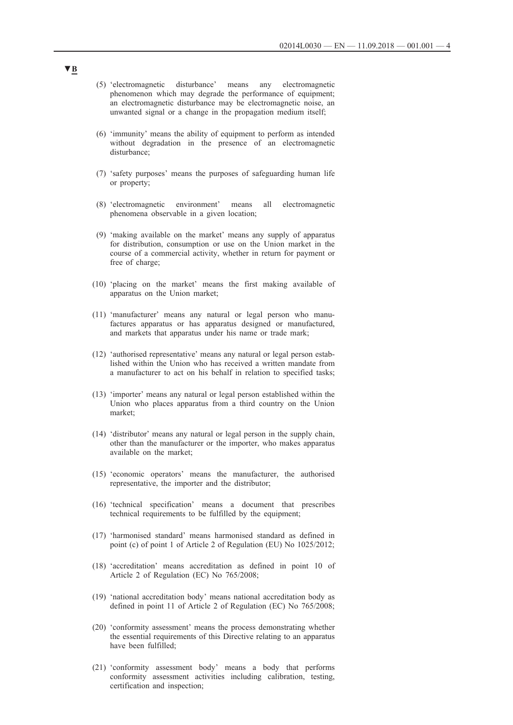- (5) 'electromagnetic disturbance' means any electromagnetic phenomenon which may degrade the performance of equipment; an electromagnetic disturbance may be electromagnetic noise, an unwanted signal or a change in the propagation medium itself;
- (6) 'immunity' means the ability of equipment to perform as intended without degradation in the presence of an electromagnetic disturbance;
- (7) 'safety purposes' means the purposes of safeguarding human life or property;
- (8) 'electromagnetic environment' means all electromagnetic phenomena observable in a given location;
- (9) 'making available on the market' means any supply of apparatus for distribution, consumption or use on the Union market in the course of a commercial activity, whether in return for payment or free of charge;
- (10) 'placing on the market' means the first making available of apparatus on the Union market;
- (11) 'manufacturer' means any natural or legal person who manufactures apparatus or has apparatus designed or manufactured, and markets that apparatus under his name or trade mark;
- (12) 'authorised representative' means any natural or legal person established within the Union who has received a written mandate from a manufacturer to act on his behalf in relation to specified tasks;
- (13) 'importer' means any natural or legal person established within the Union who places apparatus from a third country on the Union market;
- (14) 'distributor' means any natural or legal person in the supply chain, other than the manufacturer or the importer, who makes apparatus available on the market;
- (15) 'economic operators' means the manufacturer, the authorised representative, the importer and the distributor;
- (16) 'technical specification' means a document that prescribes technical requirements to be fulfilled by the equipment;
- (17) 'harmonised standard' means harmonised standard as defined in point (c) of point 1 of Article 2 of Regulation (EU) No 1025/2012;
- (18) 'accreditation' means accreditation as defined in point 10 of Article 2 of Regulation (EC) No 765/2008;
- (19) 'national accreditation body' means national accreditation body as defined in point 11 of Article 2 of Regulation (EC) No 765/2008;
- (20) 'conformity assessment' means the process demonstrating whether the essential requirements of this Directive relating to an apparatus have been fulfilled;
- (21) 'conformity assessment body' means a body that performs conformity assessment activities including calibration, testing, certification and inspection;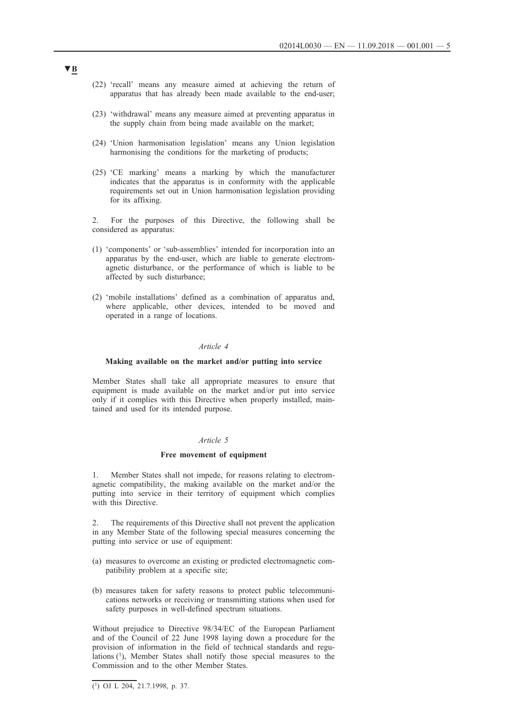- (22) 'recall' means any measure aimed at achieving the return of apparatus that has already been made available to the end-user;
- (23) 'withdrawal' means any measure aimed at preventing apparatus in the supply chain from being made available on the market;
- (24) 'Union harmonisation legislation' means any Union legislation harmonising the conditions for the marketing of products;
- (25) 'CE marking' means a marking by which the manufacturer indicates that the apparatus is in conformity with the applicable requirements set out in Union harmonisation legislation providing for its affixing.

2. For the purposes of this Directive, the following shall be considered as apparatus:

- (1) 'components' or 'sub-assemblies' intended for incorporation into an apparatus by the end-user, which are liable to generate electromagnetic disturbance, or the performance of which is liable to be affected by such disturbance;
- (2) 'mobile installations' defined as a combination of apparatus and, where applicable, other devices, intended to be moved and operated in a range of locations.

### *Article 4*

### **Making available on the market and/or putting into service**

Member States shall take all appropriate measures to ensure that equipment is made available on the market and/or put into service only if it complies with this Directive when properly installed, maintained and used for its intended purpose.

### *Article 5*

#### **Free movement of equipment**

1. Member States shall not impede, for reasons relating to electromagnetic compatibility, the making available on the market and/or the putting into service in their territory of equipment which complies with this Directive.

2. The requirements of this Directive shall not prevent the application in any Member State of the following special measures concerning the putting into service or use of equipment:

- (a) measures to overcome an existing or predicted electromagnetic compatibility problem at a specific site;
- (b) measures taken for safety reasons to protect public telecommunications networks or receiving or transmitting stations when used for safety purposes in well-defined spectrum situations.

Without prejudice to Directive 98/34/EC of the European Parliament and of the Council of 22 June 1998 laying down a procedure for the provision of information in the field of technical standards and regulations (1), Member States shall notify those special measures to the Commission and to the other Member States.

 $(1)$  OJ L 204, 21.7.1998, p. 37.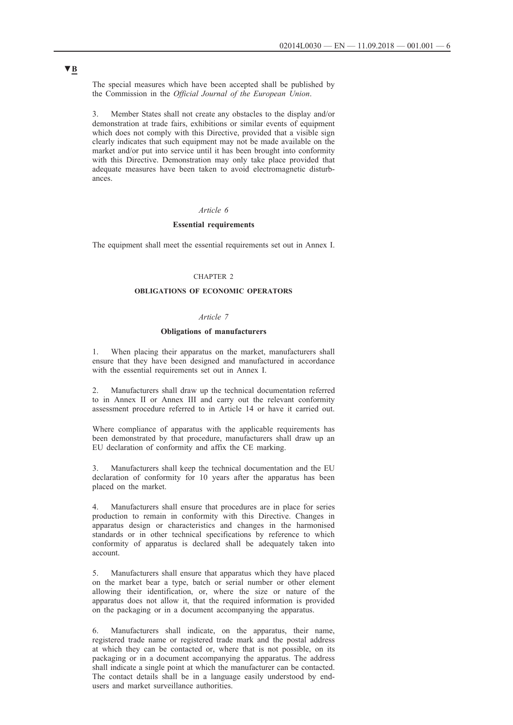The special measures which have been accepted shall be published by the Commission in the *Official Journal of the European Union*.

3. Member States shall not create any obstacles to the display and/or demonstration at trade fairs, exhibitions or similar events of equipment which does not comply with this Directive, provided that a visible sign clearly indicates that such equipment may not be made available on the market and/or put into service until it has been brought into conformity with this Directive. Demonstration may only take place provided that adequate measures have been taken to avoid electromagnetic disturbances.

#### *Article 6*

## **Essential requirements**

The equipment shall meet the essential requirements set out in Annex I.

## CHAPTER 2

## **OBLIGATIONS OF ECONOMIC OPERATORS**

## *Article 7*

#### **Obligations of manufacturers**

1. When placing their apparatus on the market, manufacturers shall ensure that they have been designed and manufactured in accordance with the essential requirements set out in Annex I.

2. Manufacturers shall draw up the technical documentation referred to in Annex II or Annex III and carry out the relevant conformity assessment procedure referred to in Article 14 or have it carried out.

Where compliance of apparatus with the applicable requirements has been demonstrated by that procedure, manufacturers shall draw up an EU declaration of conformity and affix the CE marking.

3. Manufacturers shall keep the technical documentation and the EU declaration of conformity for 10 years after the apparatus has been placed on the market.

4. Manufacturers shall ensure that procedures are in place for series production to remain in conformity with this Directive. Changes in apparatus design or characteristics and changes in the harmonised standards or in other technical specifications by reference to which conformity of apparatus is declared shall be adequately taken into account.

5. Manufacturers shall ensure that apparatus which they have placed on the market bear a type, batch or serial number or other element allowing their identification, or, where the size or nature of the apparatus does not allow it, that the required information is provided on the packaging or in a document accompanying the apparatus.

6. Manufacturers shall indicate, on the apparatus, their name, registered trade name or registered trade mark and the postal address at which they can be contacted or, where that is not possible, on its packaging or in a document accompanying the apparatus. The address shall indicate a single point at which the manufacturer can be contacted. The contact details shall be in a language easily understood by endusers and market surveillance authorities.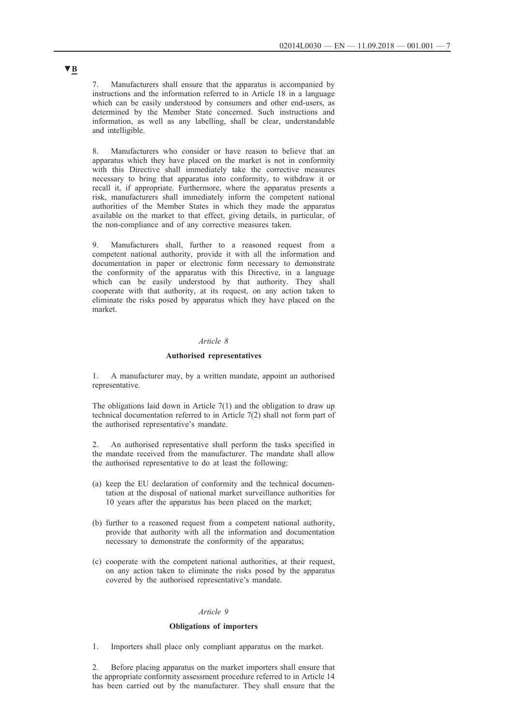7. Manufacturers shall ensure that the apparatus is accompanied by instructions and the information referred to in Article 18 in a language which can be easily understood by consumers and other end-users, as determined by the Member State concerned. Such instructions and information, as well as any labelling, shall be clear, understandable and intelligible.

8. Manufacturers who consider or have reason to believe that an apparatus which they have placed on the market is not in conformity with this Directive shall immediately take the corrective measures necessary to bring that apparatus into conformity, to withdraw it or recall it, if appropriate. Furthermore, where the apparatus presents a risk, manufacturers shall immediately inform the competent national authorities of the Member States in which they made the apparatus available on the market to that effect, giving details, in particular, of the non-compliance and of any corrective measures taken.

9. Manufacturers shall, further to a reasoned request from a competent national authority, provide it with all the information and documentation in paper or electronic form necessary to demonstrate the conformity of the apparatus with this Directive, in a language which can be easily understood by that authority. They shall cooperate with that authority, at its request, on any action taken to eliminate the risks posed by apparatus which they have placed on the market.

### *Article 8*

## **Authorised representatives**

1. A manufacturer may, by a written mandate, appoint an authorised representative.

The obligations laid down in Article 7(1) and the obligation to draw up technical documentation referred to in Article 7(2) shall not form part of the authorised representative's mandate.

2. An authorised representative shall perform the tasks specified in the mandate received from the manufacturer. The mandate shall allow the authorised representative to do at least the following:

- (a) keep the EU declaration of conformity and the technical documentation at the disposal of national market surveillance authorities for 10 years after the apparatus has been placed on the market;
- (b) further to a reasoned request from a competent national authority, provide that authority with all the information and documentation necessary to demonstrate the conformity of the apparatus;
- (c) cooperate with the competent national authorities, at their request, on any action taken to eliminate the risks posed by the apparatus covered by the authorised representative's mandate.

### *Article 9*

## **Obligations of importers**

1. Importers shall place only compliant apparatus on the market.

2. Before placing apparatus on the market importers shall ensure that the appropriate conformity assessment procedure referred to in Article 14 has been carried out by the manufacturer. They shall ensure that the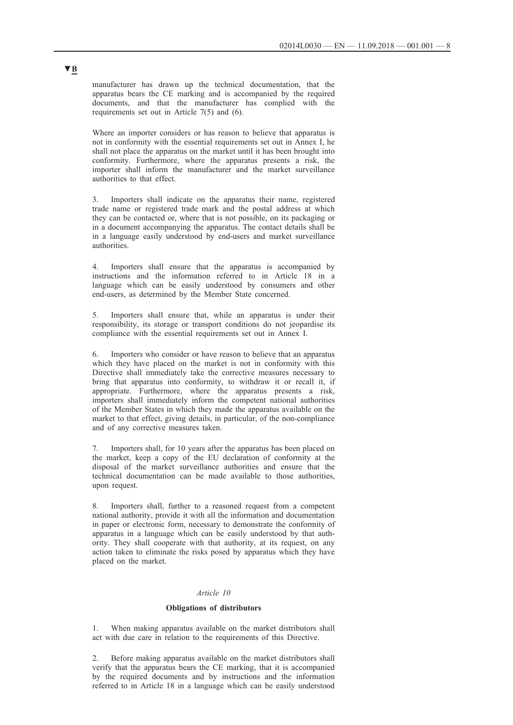manufacturer has drawn up the technical documentation, that the apparatus bears the CE marking and is accompanied by the required documents, and that the manufacturer has complied with the requirements set out in Article 7(5) and (6).

Where an importer considers or has reason to believe that apparatus is not in conformity with the essential requirements set out in Annex I, he shall not place the apparatus on the market until it has been brought into conformity. Furthermore, where the apparatus presents a risk, the importer shall inform the manufacturer and the market surveillance authorities to that effect.

3. Importers shall indicate on the apparatus their name, registered trade name or registered trade mark and the postal address at which they can be contacted or, where that is not possible, on its packaging or in a document accompanying the apparatus. The contact details shall be in a language easily understood by end-users and market surveillance authorities.

4. Importers shall ensure that the apparatus is accompanied by instructions and the information referred to in Article 18 in a language which can be easily understood by consumers and other end-users, as determined by the Member State concerned.

5. Importers shall ensure that, while an apparatus is under their responsibility, its storage or transport conditions do not jeopardise its compliance with the essential requirements set out in Annex I.

6. Importers who consider or have reason to believe that an apparatus which they have placed on the market is not in conformity with this Directive shall immediately take the corrective measures necessary to bring that apparatus into conformity, to withdraw it or recall it, if appropriate. Furthermore, where the apparatus presents a risk, importers shall immediately inform the competent national authorities of the Member States in which they made the apparatus available on the market to that effect, giving details, in particular, of the non-compliance and of any corrective measures taken.

7. Importers shall, for 10 years after the apparatus has been placed on the market, keep a copy of the EU declaration of conformity at the disposal of the market surveillance authorities and ensure that the technical documentation can be made available to those authorities, upon request.

8. Importers shall, further to a reasoned request from a competent national authority, provide it with all the information and documentation in paper or electronic form, necessary to demonstrate the conformity of apparatus in a language which can be easily understood by that authority. They shall cooperate with that authority, at its request, on any action taken to eliminate the risks posed by apparatus which they have placed on the market.

## *Article 10*

### **Obligations of distributors**

When making apparatus available on the market distributors shall act with due care in relation to the requirements of this Directive.

2. Before making apparatus available on the market distributors shall verify that the apparatus bears the CE marking, that it is accompanied by the required documents and by instructions and the information referred to in Article 18 in a language which can be easily understood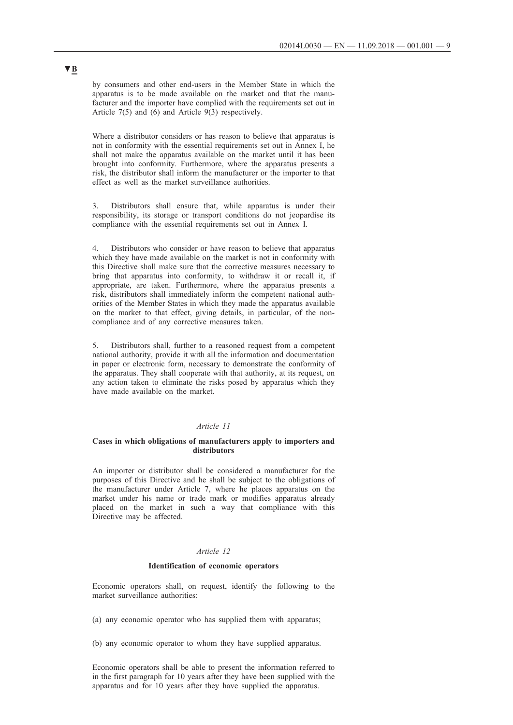by consumers and other end-users in the Member State in which the apparatus is to be made available on the market and that the manufacturer and the importer have complied with the requirements set out in Article 7(5) and (6) and Article 9(3) respectively.

Where a distributor considers or has reason to believe that apparatus is not in conformity with the essential requirements set out in Annex I, he shall not make the apparatus available on the market until it has been brought into conformity. Furthermore, where the apparatus presents a risk, the distributor shall inform the manufacturer or the importer to that effect as well as the market surveillance authorities.

3. Distributors shall ensure that, while apparatus is under their responsibility, its storage or transport conditions do not jeopardise its compliance with the essential requirements set out in Annex I.

4. Distributors who consider or have reason to believe that apparatus which they have made available on the market is not in conformity with this Directive shall make sure that the corrective measures necessary to bring that apparatus into conformity, to withdraw it or recall it, if appropriate, are taken. Furthermore, where the apparatus presents a risk, distributors shall immediately inform the competent national authorities of the Member States in which they made the apparatus available on the market to that effect, giving details, in particular, of the noncompliance and of any corrective measures taken.

5. Distributors shall, further to a reasoned request from a competent national authority, provide it with all the information and documentation in paper or electronic form, necessary to demonstrate the conformity of the apparatus. They shall cooperate with that authority, at its request, on any action taken to eliminate the risks posed by apparatus which they have made available on the market.

#### *Article 11*

### **Cases in which obligations of manufacturers apply to importers and distributors**

An importer or distributor shall be considered a manufacturer for the purposes of this Directive and he shall be subject to the obligations of the manufacturer under Article 7, where he places apparatus on the market under his name or trade mark or modifies apparatus already placed on the market in such a way that compliance with this Directive may be affected.

## *Article 12*

## **Identification of economic operators**

Economic operators shall, on request, identify the following to the market surveillance authorities:

- (a) any economic operator who has supplied them with apparatus;
- (b) any economic operator to whom they have supplied apparatus.

Economic operators shall be able to present the information referred to in the first paragraph for 10 years after they have been supplied with the apparatus and for 10 years after they have supplied the apparatus.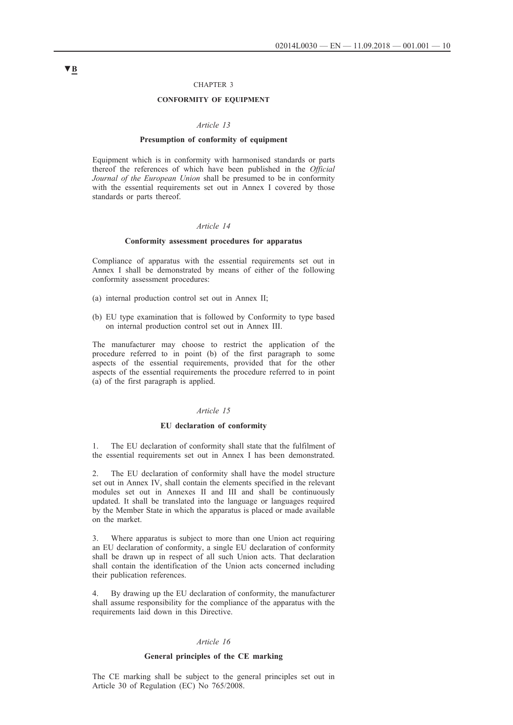#### CHAPTER 3

## **CONFORMITY OF EQUIPMENT**

#### *Article 13*

#### **Presumption of conformity of equipment**

Equipment which is in conformity with harmonised standards or parts thereof the references of which have been published in the *Official Journal of the European Union* shall be presumed to be in conformity with the essential requirements set out in Annex I covered by those standards or parts thereof.

#### *Article 14*

## **Conformity assessment procedures for apparatus**

Compliance of apparatus with the essential requirements set out in Annex I shall be demonstrated by means of either of the following conformity assessment procedures:

- (a) internal production control set out in Annex II;
- (b) EU type examination that is followed by Conformity to type based on internal production control set out in Annex III.

The manufacturer may choose to restrict the application of the procedure referred to in point (b) of the first paragraph to some aspects of the essential requirements, provided that for the other aspects of the essential requirements the procedure referred to in point (a) of the first paragraph is applied.

## *Article 15*

#### **EU declaration of conformity**

1. The EU declaration of conformity shall state that the fulfilment of the essential requirements set out in Annex I has been demonstrated.

2. The EU declaration of conformity shall have the model structure set out in Annex IV, shall contain the elements specified in the relevant modules set out in Annexes II and III and shall be continuously updated. It shall be translated into the language or languages required by the Member State in which the apparatus is placed or made available on the market.

3. Where apparatus is subject to more than one Union act requiring an EU declaration of conformity, a single EU declaration of conformity shall be drawn up in respect of all such Union acts. That declaration shall contain the identification of the Union acts concerned including their publication references.

By drawing up the EU declaration of conformity, the manufacturer shall assume responsibility for the compliance of the apparatus with the requirements laid down in this Directive.

### *Article 16*

#### **General principles of the CE marking**

The CE marking shall be subject to the general principles set out in Article 30 of Regulation (EC) No 765/2008.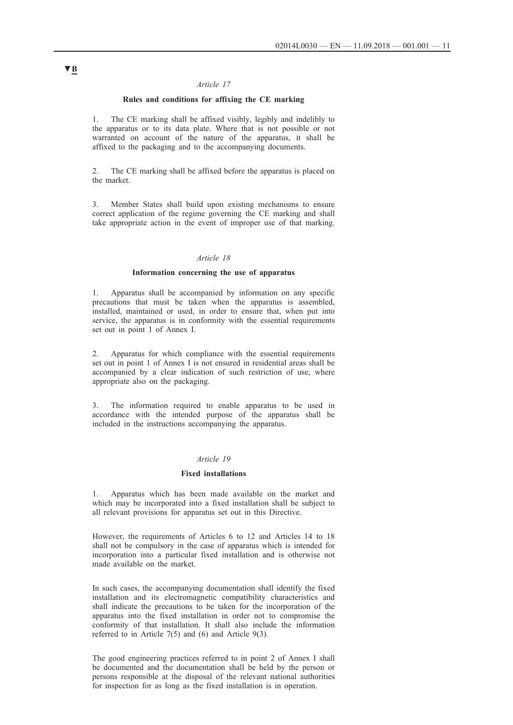## *Article 17*

## **Rules and conditions for affixing the CE marking**

1. The CE marking shall be affixed visibly, legibly and indelibly to the apparatus or to its data plate. Where that is not possible or not warranted on account of the nature of the apparatus, it shall be affixed to the packaging and to the accompanying documents.

2. The CE marking shall be affixed before the apparatus is placed on the market.

3. Member States shall build upon existing mechanisms to ensure correct application of the regime governing the CE marking and shall take appropriate action in the event of improper use of that marking.

## *Article 18*

## **Information concerning the use of apparatus**

1. Apparatus shall be accompanied by information on any specific precautions that must be taken when the apparatus is assembled, installed, maintained or used, in order to ensure that, when put into service, the apparatus is in conformity with the essential requirements set out in point 1 of Annex I.

2. Apparatus for which compliance with the essential requirements set out in point 1 of Annex I is not ensured in residential areas shall be accompanied by a clear indication of such restriction of use, where appropriate also on the packaging.

3. The information required to enable apparatus to be used in accordance with the intended purpose of the apparatus shall be included in the instructions accompanying the apparatus.

### *Article 19*

### **Fixed installations**

1. Apparatus which has been made available on the market and which may be incorporated into a fixed installation shall be subject to all relevant provisions for apparatus set out in this Directive.

However, the requirements of Articles 6 to 12 and Articles 14 to 18 shall not be compulsory in the case of apparatus which is intended for incorporation into a particular fixed installation and is otherwise not made available on the market.

In such cases, the accompanying documentation shall identify the fixed installation and its electromagnetic compatibility characteristics and shall indicate the precautions to be taken for the incorporation of the apparatus into the fixed installation in order not to compromise the conformity of that installation. It shall also include the information referred to in Article 7(5) and (6) and Article 9(3).

The good engineering practices referred to in point 2 of Annex I shall be documented and the documentation shall be held by the person or persons responsible at the disposal of the relevant national authorities for inspection for as long as the fixed installation is in operation.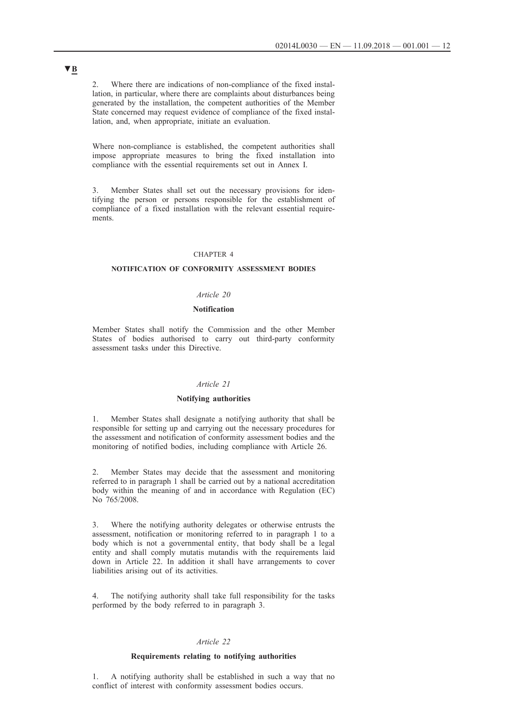2. Where there are indications of non-compliance of the fixed installation, in particular, where there are complaints about disturbances being generated by the installation, the competent authorities of the Member State concerned may request evidence of compliance of the fixed installation, and, when appropriate, initiate an evaluation.

Where non-compliance is established, the competent authorities shall impose appropriate measures to bring the fixed installation into compliance with the essential requirements set out in Annex I.

3. Member States shall set out the necessary provisions for identifying the person or persons responsible for the establishment of compliance of a fixed installation with the relevant essential requirements.

### CHAPTER 4

## **NOTIFICATION OF CONFORMITY ASSESSMENT BODIES**

### *Article 20*

### **Notification**

Member States shall notify the Commission and the other Member States of bodies authorised to carry out third-party conformity assessment tasks under this Directive.

### *Article 21*

### **Notifying authorities**

1. Member States shall designate a notifying authority that shall be responsible for setting up and carrying out the necessary procedures for the assessment and notification of conformity assessment bodies and the monitoring of notified bodies, including compliance with Article 26.

2. Member States may decide that the assessment and monitoring referred to in paragraph 1 shall be carried out by a national accreditation body within the meaning of and in accordance with Regulation (EC) No 765/2008.

3. Where the notifying authority delegates or otherwise entrusts the assessment, notification or monitoring referred to in paragraph 1 to a body which is not a governmental entity, that body shall be a legal entity and shall comply mutatis mutandis with the requirements laid down in Article 22. In addition it shall have arrangements to cover liabilities arising out of its activities.

4. The notifying authority shall take full responsibility for the tasks performed by the body referred to in paragraph 3.

#### *Article 22*

#### **Requirements relating to notifying authorities**

1. A notifying authority shall be established in such a way that no conflict of interest with conformity assessment bodies occurs.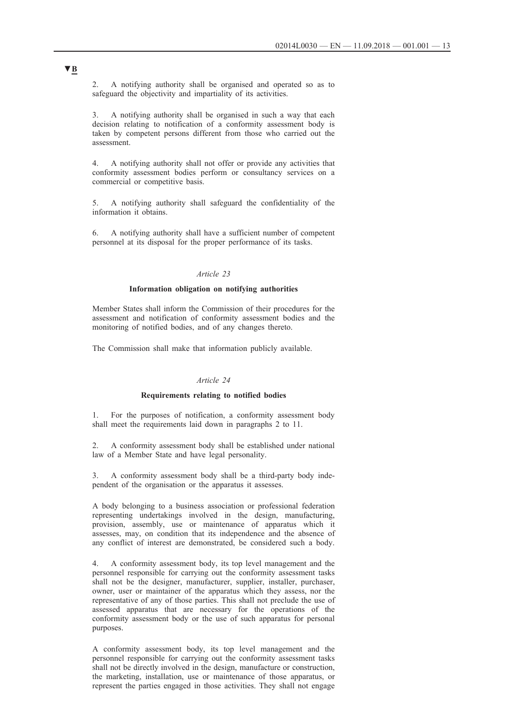2. A notifying authority shall be organised and operated so as to safeguard the objectivity and impartiality of its activities.

3. A notifying authority shall be organised in such a way that each decision relating to notification of a conformity assessment body is taken by competent persons different from those who carried out the assessment.

4. A notifying authority shall not offer or provide any activities that conformity assessment bodies perform or consultancy services on a commercial or competitive basis.

5. A notifying authority shall safeguard the confidentiality of the information it obtains.

6. A notifying authority shall have a sufficient number of competent personnel at its disposal for the proper performance of its tasks.

### *Article 23*

## **Information obligation on notifying authorities**

Member States shall inform the Commission of their procedures for the assessment and notification of conformity assessment bodies and the monitoring of notified bodies, and of any changes thereto.

The Commission shall make that information publicly available.

## *Article 24*

## **Requirements relating to notified bodies**

1. For the purposes of notification, a conformity assessment body shall meet the requirements laid down in paragraphs 2 to 11.

2. A conformity assessment body shall be established under national law of a Member State and have legal personality.

3. A conformity assessment body shall be a third-party body independent of the organisation or the apparatus it assesses.

A body belonging to a business association or professional federation representing undertakings involved in the design, manufacturing, provision, assembly, use or maintenance of apparatus which it assesses, may, on condition that its independence and the absence of any conflict of interest are demonstrated, be considered such a body.

4. A conformity assessment body, its top level management and the personnel responsible for carrying out the conformity assessment tasks shall not be the designer, manufacturer, supplier, installer, purchaser, owner, user or maintainer of the apparatus which they assess, nor the representative of any of those parties. This shall not preclude the use of assessed apparatus that are necessary for the operations of the conformity assessment body or the use of such apparatus for personal purposes.

A conformity assessment body, its top level management and the personnel responsible for carrying out the conformity assessment tasks shall not be directly involved in the design, manufacture or construction, the marketing, installation, use or maintenance of those apparatus, or represent the parties engaged in those activities. They shall not engage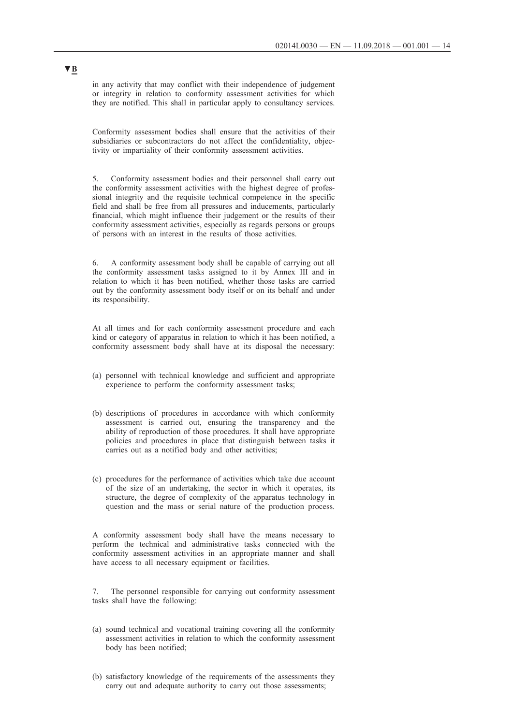in any activity that may conflict with their independence of judgement or integrity in relation to conformity assessment activities for which they are notified. This shall in particular apply to consultancy services.

Conformity assessment bodies shall ensure that the activities of their subsidiaries or subcontractors do not affect the confidentiality, objectivity or impartiality of their conformity assessment activities.

5. Conformity assessment bodies and their personnel shall carry out the conformity assessment activities with the highest degree of professional integrity and the requisite technical competence in the specific field and shall be free from all pressures and inducements, particularly financial, which might influence their judgement or the results of their conformity assessment activities, especially as regards persons or groups of persons with an interest in the results of those activities.

6. A conformity assessment body shall be capable of carrying out all the conformity assessment tasks assigned to it by Annex III and in relation to which it has been notified, whether those tasks are carried out by the conformity assessment body itself or on its behalf and under its responsibility.

At all times and for each conformity assessment procedure and each kind or category of apparatus in relation to which it has been notified, a conformity assessment body shall have at its disposal the necessary:

- (a) personnel with technical knowledge and sufficient and appropriate experience to perform the conformity assessment tasks;
- (b) descriptions of procedures in accordance with which conformity assessment is carried out, ensuring the transparency and the ability of reproduction of those procedures. It shall have appropriate policies and procedures in place that distinguish between tasks it carries out as a notified body and other activities;
- (c) procedures for the performance of activities which take due account of the size of an undertaking, the sector in which it operates, its structure, the degree of complexity of the apparatus technology in question and the mass or serial nature of the production process.

A conformity assessment body shall have the means necessary to perform the technical and administrative tasks connected with the conformity assessment activities in an appropriate manner and shall have access to all necessary equipment or facilities.

7. The personnel responsible for carrying out conformity assessment tasks shall have the following:

- (a) sound technical and vocational training covering all the conformity assessment activities in relation to which the conformity assessment body has been notified;
- (b) satisfactory knowledge of the requirements of the assessments they carry out and adequate authority to carry out those assessments;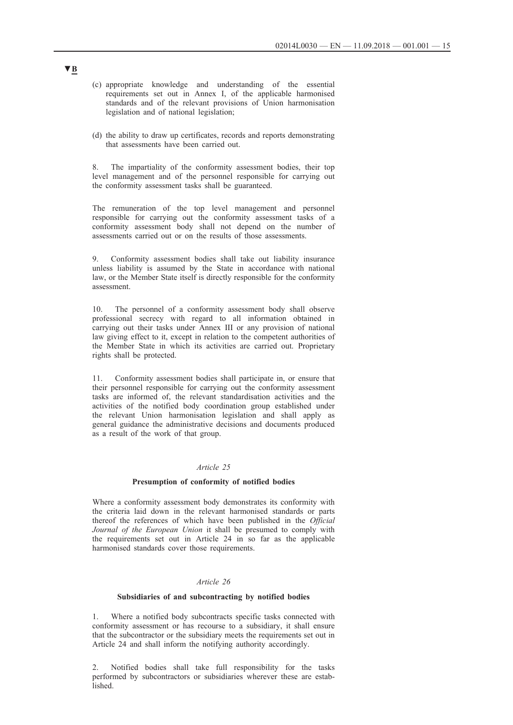- (c) appropriate knowledge and understanding of the essential requirements set out in Annex I, of the applicable harmonised standards and of the relevant provisions of Union harmonisation legislation and of national legislation;
- (d) the ability to draw up certificates, records and reports demonstrating that assessments have been carried out.

8. The impartiality of the conformity assessment bodies, their top level management and of the personnel responsible for carrying out the conformity assessment tasks shall be guaranteed.

The remuneration of the top level management and personnel responsible for carrying out the conformity assessment tasks of a conformity assessment body shall not depend on the number of assessments carried out or on the results of those assessments.

9. Conformity assessment bodies shall take out liability insurance unless liability is assumed by the State in accordance with national law, or the Member State itself is directly responsible for the conformity assessment.

10. The personnel of a conformity assessment body shall observe professional secrecy with regard to all information obtained in carrying out their tasks under Annex III or any provision of national law giving effect to it, except in relation to the competent authorities of the Member State in which its activities are carried out. Proprietary rights shall be protected.

11. Conformity assessment bodies shall participate in, or ensure that their personnel responsible for carrying out the conformity assessment tasks are informed of, the relevant standardisation activities and the activities of the notified body coordination group established under the relevant Union harmonisation legislation and shall apply as general guidance the administrative decisions and documents produced as a result of the work of that group.

## *Article 25*

### **Presumption of conformity of notified bodies**

Where a conformity assessment body demonstrates its conformity with the criteria laid down in the relevant harmonised standards or parts thereof the references of which have been published in the *Official Journal of the European Union* it shall be presumed to comply with the requirements set out in Article 24 in so far as the applicable harmonised standards cover those requirements.

## *Article 26*

### **Subsidiaries of and subcontracting by notified bodies**

1. Where a notified body subcontracts specific tasks connected with conformity assessment or has recourse to a subsidiary, it shall ensure that the subcontractor or the subsidiary meets the requirements set out in Article 24 and shall inform the notifying authority accordingly.

2. Notified bodies shall take full responsibility for the tasks performed by subcontractors or subsidiaries wherever these are established.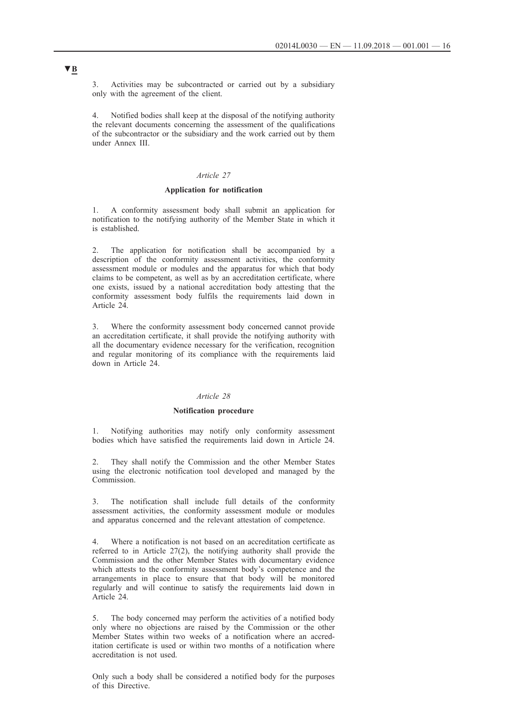3. Activities may be subcontracted or carried out by a subsidiary only with the agreement of the client.

Notified bodies shall keep at the disposal of the notifying authority the relevant documents concerning the assessment of the qualifications of the subcontractor or the subsidiary and the work carried out by them under Annex III.

## *Article 27*

#### **Application for notification**

1. A conformity assessment body shall submit an application for notification to the notifying authority of the Member State in which it is established.

2. The application for notification shall be accompanied by a description of the conformity assessment activities, the conformity assessment module or modules and the apparatus for which that body claims to be competent, as well as by an accreditation certificate, where one exists, issued by a national accreditation body attesting that the conformity assessment body fulfils the requirements laid down in Article 24.

3. Where the conformity assessment body concerned cannot provide an accreditation certificate, it shall provide the notifying authority with all the documentary evidence necessary for the verification, recognition and regular monitoring of its compliance with the requirements laid down in Article 24.

#### *Article 28*

## **Notification procedure**

1. Notifying authorities may notify only conformity assessment bodies which have satisfied the requirements laid down in Article 24.

2. They shall notify the Commission and the other Member States using the electronic notification tool developed and managed by the **Commission** 

3. The notification shall include full details of the conformity assessment activities, the conformity assessment module or modules and apparatus concerned and the relevant attestation of competence.

4. Where a notification is not based on an accreditation certificate as referred to in Article 27(2), the notifying authority shall provide the Commission and the other Member States with documentary evidence which attests to the conformity assessment body's competence and the arrangements in place to ensure that that body will be monitored regularly and will continue to satisfy the requirements laid down in Article 24.

5. The body concerned may perform the activities of a notified body only where no objections are raised by the Commission or the other Member States within two weeks of a notification where an accreditation certificate is used or within two months of a notification where accreditation is not used.

Only such a body shall be considered a notified body for the purposes of this Directive.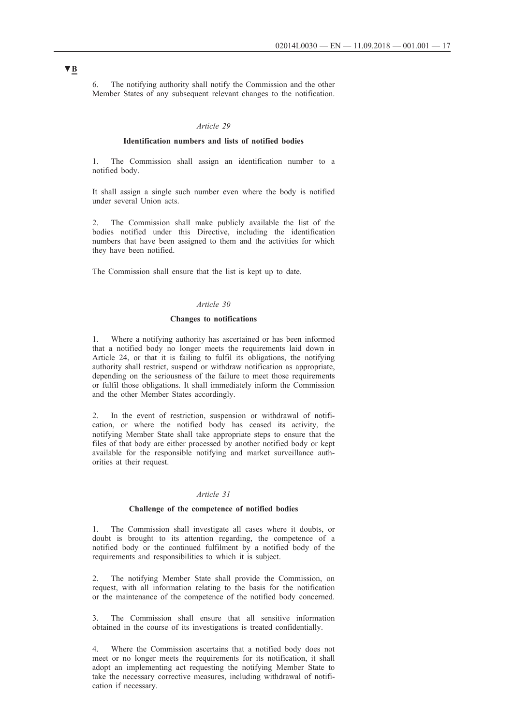6. The notifying authority shall notify the Commission and the other Member States of any subsequent relevant changes to the notification.

## *Article 29*

#### **Identification numbers and lists of notified bodies**

1. The Commission shall assign an identification number to a notified body.

It shall assign a single such number even where the body is notified under several Union acts.

2. The Commission shall make publicly available the list of the bodies notified under this Directive, including the identification numbers that have been assigned to them and the activities for which they have been notified.

The Commission shall ensure that the list is kept up to date.

### *Article 30*

### **Changes to notifications**

1. Where a notifying authority has ascertained or has been informed that a notified body no longer meets the requirements laid down in Article 24, or that it is failing to fulfil its obligations, the notifying authority shall restrict, suspend or withdraw notification as appropriate, depending on the seriousness of the failure to meet those requirements or fulfil those obligations. It shall immediately inform the Commission and the other Member States accordingly.

2. In the event of restriction, suspension or withdrawal of notification, or where the notified body has ceased its activity, the notifying Member State shall take appropriate steps to ensure that the files of that body are either processed by another notified body or kept available for the responsible notifying and market surveillance authorities at their request.

## *Article 31*

#### **Challenge of the competence of notified bodies**

1. The Commission shall investigate all cases where it doubts, or doubt is brought to its attention regarding, the competence of a notified body or the continued fulfilment by a notified body of the requirements and responsibilities to which it is subject.

2. The notifying Member State shall provide the Commission, on request, with all information relating to the basis for the notification or the maintenance of the competence of the notified body concerned.

3. The Commission shall ensure that all sensitive information obtained in the course of its investigations is treated confidentially.

4. Where the Commission ascertains that a notified body does not meet or no longer meets the requirements for its notification, it shall adopt an implementing act requesting the notifying Member State to take the necessary corrective measures, including withdrawal of notification if necessary.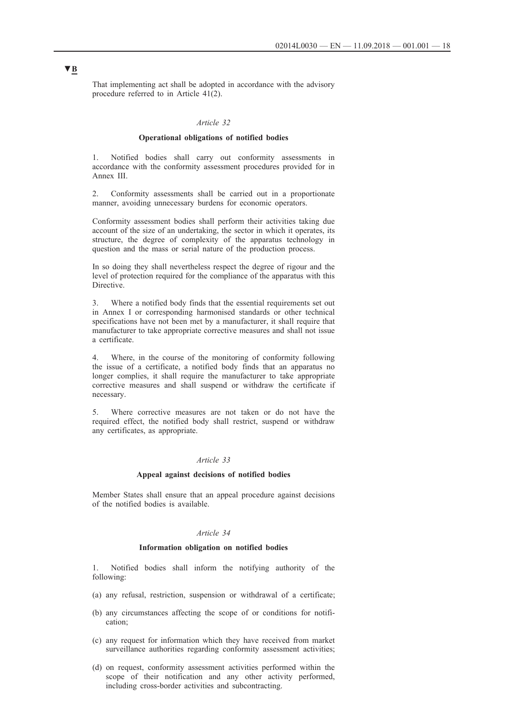That implementing act shall be adopted in accordance with the advisory procedure referred to in Article 41(2).

## *Article 32*

#### **Operational obligations of notified bodies**

1. Notified bodies shall carry out conformity assessments in accordance with the conformity assessment procedures provided for in Annex III.

2. Conformity assessments shall be carried out in a proportionate manner, avoiding unnecessary burdens for economic operators.

Conformity assessment bodies shall perform their activities taking due account of the size of an undertaking, the sector in which it operates, its structure, the degree of complexity of the apparatus technology in question and the mass or serial nature of the production process.

In so doing they shall nevertheless respect the degree of rigour and the level of protection required for the compliance of the apparatus with this Directive.

3. Where a notified body finds that the essential requirements set out in Annex I or corresponding harmonised standards or other technical specifications have not been met by a manufacturer, it shall require that manufacturer to take appropriate corrective measures and shall not issue a certificate.

4. Where, in the course of the monitoring of conformity following the issue of a certificate, a notified body finds that an apparatus no longer complies, it shall require the manufacturer to take appropriate corrective measures and shall suspend or withdraw the certificate if necessary.

5. Where corrective measures are not taken or do not have the required effect, the notified body shall restrict, suspend or withdraw any certificates, as appropriate.

## *Article 33*

#### **Appeal against decisions of notified bodies**

Member States shall ensure that an appeal procedure against decisions of the notified bodies is available.

## *Article 34*

#### **Information obligation on notified bodies**

1. Notified bodies shall inform the notifying authority of the following:

- (a) any refusal, restriction, suspension or withdrawal of a certificate;
- (b) any circumstances affecting the scope of or conditions for notification;
- (c) any request for information which they have received from market surveillance authorities regarding conformity assessment activities;
- (d) on request, conformity assessment activities performed within the scope of their notification and any other activity performed, including cross-border activities and subcontracting.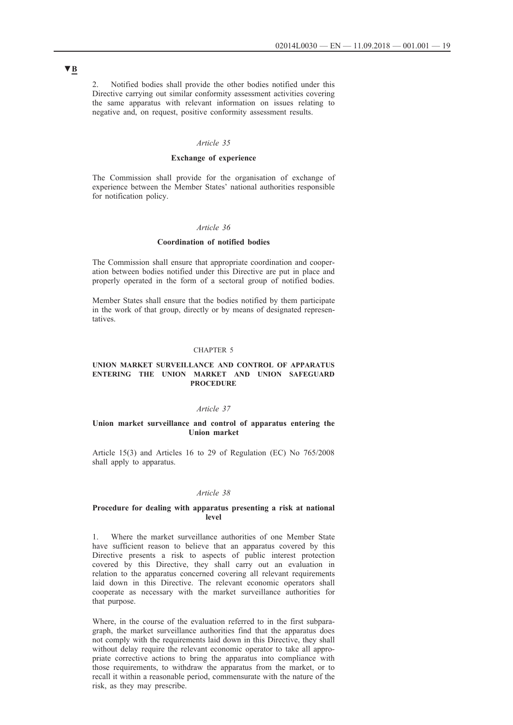2. Notified bodies shall provide the other bodies notified under this Directive carrying out similar conformity assessment activities covering the same apparatus with relevant information on issues relating to negative and, on request, positive conformity assessment results.

## *Article 35*

### **Exchange of experience**

The Commission shall provide for the organisation of exchange of experience between the Member States' national authorities responsible for notification policy.

#### *Article 36*

#### **Coordination of notified bodies**

The Commission shall ensure that appropriate coordination and cooperation between bodies notified under this Directive are put in place and properly operated in the form of a sectoral group of notified bodies.

Member States shall ensure that the bodies notified by them participate in the work of that group, directly or by means of designated representatives.

#### CHAPTER 5

## **UNION MARKET SURVEILLANCE AND CONTROL OF APPARATUS ENTERING THE UNION MARKET AND UNION SAFEGUARD PROCEDURE**

#### *Article 37*

#### **Union market surveillance and control of apparatus entering the Union market**

Article 15(3) and Articles 16 to 29 of Regulation (EC) No 765/2008 shall apply to apparatus.

#### *Article 38*

#### **Procedure for dealing with apparatus presenting a risk at national level**

1. Where the market surveillance authorities of one Member State have sufficient reason to believe that an apparatus covered by this Directive presents a risk to aspects of public interest protection covered by this Directive, they shall carry out an evaluation in relation to the apparatus concerned covering all relevant requirements laid down in this Directive. The relevant economic operators shall cooperate as necessary with the market surveillance authorities for that purpose.

Where, in the course of the evaluation referred to in the first subparagraph, the market surveillance authorities find that the apparatus does not comply with the requirements laid down in this Directive, they shall without delay require the relevant economic operator to take all appropriate corrective actions to bring the apparatus into compliance with those requirements, to withdraw the apparatus from the market, or to recall it within a reasonable period, commensurate with the nature of the risk, as they may prescribe.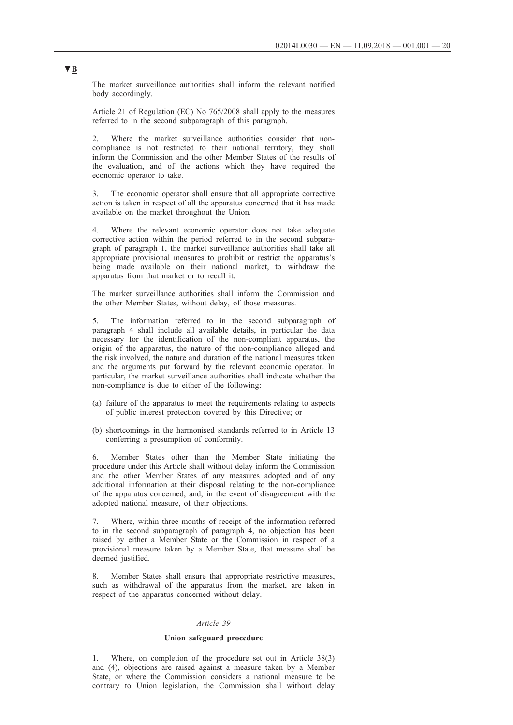The market surveillance authorities shall inform the relevant notified body accordingly.

Article 21 of Regulation (EC) No 765/2008 shall apply to the measures referred to in the second subparagraph of this paragraph.

2. Where the market surveillance authorities consider that noncompliance is not restricted to their national territory, they shall inform the Commission and the other Member States of the results of the evaluation, and of the actions which they have required the economic operator to take.

3. The economic operator shall ensure that all appropriate corrective action is taken in respect of all the apparatus concerned that it has made available on the market throughout the Union.

4. Where the relevant economic operator does not take adequate corrective action within the period referred to in the second subparagraph of paragraph 1, the market surveillance authorities shall take all appropriate provisional measures to prohibit or restrict the apparatus's being made available on their national market, to withdraw the apparatus from that market or to recall it.

The market surveillance authorities shall inform the Commission and the other Member States, without delay, of those measures.

5. The information referred to in the second subparagraph of paragraph 4 shall include all available details, in particular the data necessary for the identification of the non-compliant apparatus, the origin of the apparatus, the nature of the non-compliance alleged and the risk involved, the nature and duration of the national measures taken and the arguments put forward by the relevant economic operator. In particular, the market surveillance authorities shall indicate whether the non-compliance is due to either of the following:

- (a) failure of the apparatus to meet the requirements relating to aspects of public interest protection covered by this Directive; or
- (b) shortcomings in the harmonised standards referred to in Article 13 conferring a presumption of conformity.

6. Member States other than the Member State initiating the procedure under this Article shall without delay inform the Commission and the other Member States of any measures adopted and of any additional information at their disposal relating to the non-compliance of the apparatus concerned, and, in the event of disagreement with the adopted national measure, of their objections.

Where, within three months of receipt of the information referred to in the second subparagraph of paragraph 4, no objection has been raised by either a Member State or the Commission in respect of a provisional measure taken by a Member State, that measure shall be deemed justified.

8. Member States shall ensure that appropriate restrictive measures, such as withdrawal of the apparatus from the market, are taken in respect of the apparatus concerned without delay.

### *Article 39*

### **Union safeguard procedure**

1. Where, on completion of the procedure set out in Article 38(3) and (4), objections are raised against a measure taken by a Member State, or where the Commission considers a national measure to be contrary to Union legislation, the Commission shall without delay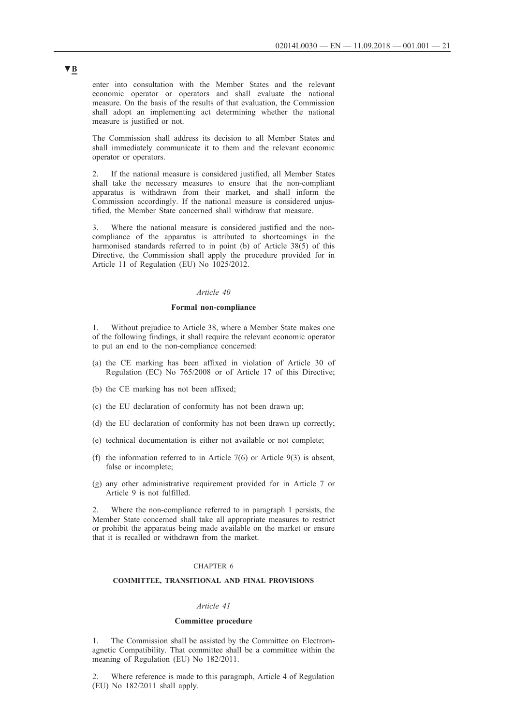enter into consultation with the Member States and the relevant economic operator or operators and shall evaluate the national measure. On the basis of the results of that evaluation, the Commission shall adopt an implementing act determining whether the national measure is justified or not.

The Commission shall address its decision to all Member States and shall immediately communicate it to them and the relevant economic operator or operators.

2. If the national measure is considered justified, all Member States shall take the necessary measures to ensure that the non-compliant apparatus is withdrawn from their market, and shall inform the Commission accordingly. If the national measure is considered unjustified, the Member State concerned shall withdraw that measure.

3. Where the national measure is considered justified and the noncompliance of the apparatus is attributed to shortcomings in the harmonised standards referred to in point (b) of Article 38(5) of this Directive, the Commission shall apply the procedure provided for in Article 11 of Regulation (EU) No 1025/2012.

## *Article 40*

### **Formal non-compliance**

1. Without prejudice to Article 38, where a Member State makes one of the following findings, it shall require the relevant economic operator to put an end to the non-compliance concerned:

- (a) the CE marking has been affixed in violation of Article 30 of Regulation (EC) No 765/2008 or of Article 17 of this Directive;
- (b) the CE marking has not been affixed;
- (c) the EU declaration of conformity has not been drawn up;
- (d) the EU declaration of conformity has not been drawn up correctly;
- (e) technical documentation is either not available or not complete;
- (f) the information referred to in Article  $7(6)$  or Article  $9(3)$  is absent, false or incomplete;
- (g) any other administrative requirement provided for in Article 7 or Article 9 is not fulfilled.

2. Where the non-compliance referred to in paragraph 1 persists, the Member State concerned shall take all appropriate measures to restrict or prohibit the apparatus being made available on the market or ensure that it is recalled or withdrawn from the market.

## CHAPTER 6

## **COMMITTEE, TRANSITIONAL AND FINAL PROVISIONS**

## *Article 41*

## **Committee procedure**

The Commission shall be assisted by the Committee on Electromagnetic Compatibility. That committee shall be a committee within the meaning of Regulation (EU) No 182/2011.

2. Where reference is made to this paragraph, Article 4 of Regulation (EU) No 182/2011 shall apply.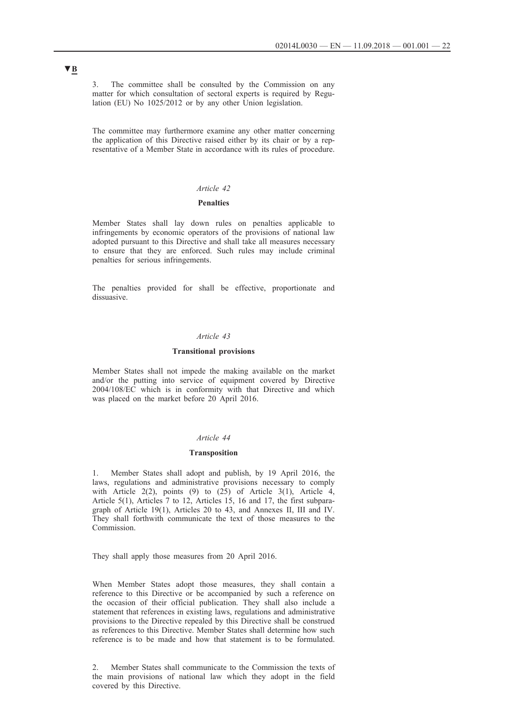3. The committee shall be consulted by the Commission on any matter for which consultation of sectoral experts is required by Regulation (EU) No 1025/2012 or by any other Union legislation.

The committee may furthermore examine any other matter concerning the application of this Directive raised either by its chair or by a representative of a Member State in accordance with its rules of procedure.

## *Article 42*

#### **Penalties**

Member States shall lay down rules on penalties applicable to infringements by economic operators of the provisions of national law adopted pursuant to this Directive and shall take all measures necessary to ensure that they are enforced. Such rules may include criminal penalties for serious infringements.

The penalties provided for shall be effective, proportionate and dissuasive.

## *Article 43*

### **Transitional provisions**

Member States shall not impede the making available on the market and/or the putting into service of equipment covered by Directive 2004/108/EC which is in conformity with that Directive and which was placed on the market before 20 April 2016.

#### *Article 44*

#### **Transposition**

1. Member States shall adopt and publish, by 19 April 2016, the laws, regulations and administrative provisions necessary to comply with Article 2(2), points (9) to  $(25)$  of Article 3(1), Article 4, Article 5(1), Articles 7 to 12, Articles 15, 16 and 17, the first subparagraph of Article 19(1), Articles 20 to 43, and Annexes II, III and IV. They shall forthwith communicate the text of those measures to the Commission.

They shall apply those measures from 20 April 2016.

When Member States adopt those measures, they shall contain a reference to this Directive or be accompanied by such a reference on the occasion of their official publication. They shall also include a statement that references in existing laws, regulations and administrative provisions to the Directive repealed by this Directive shall be construed as references to this Directive. Member States shall determine how such reference is to be made and how that statement is to be formulated.

2. Member States shall communicate to the Commission the texts of the main provisions of national law which they adopt in the field covered by this Directive.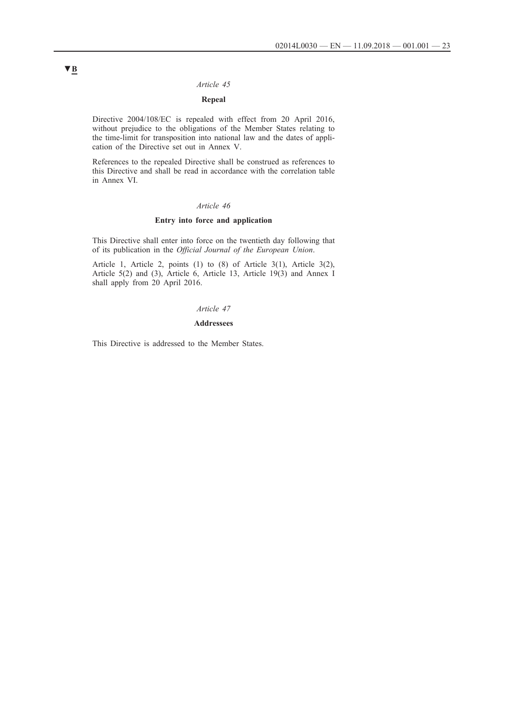## *Article 45*

## **Repeal**

Directive 2004/108/EC is repealed with effect from 20 April 2016, without prejudice to the obligations of the Member States relating to the time-limit for transposition into national law and the dates of application of the Directive set out in Annex V.

References to the repealed Directive shall be construed as references to this Directive and shall be read in accordance with the correlation table in Annex VI.

## *Article 46*

## **Entry into force and application**

This Directive shall enter into force on the twentieth day following that of its publication in the *Official Journal of the European Union*.

Article 1, Article 2, points (1) to (8) of Article 3(1), Article 3(2), Article 5(2) and (3), Article 6, Article 13, Article 19(3) and Annex I shall apply from 20 April 2016.

## *Article 47*

#### **Addressees**

This Directive is addressed to the Member States.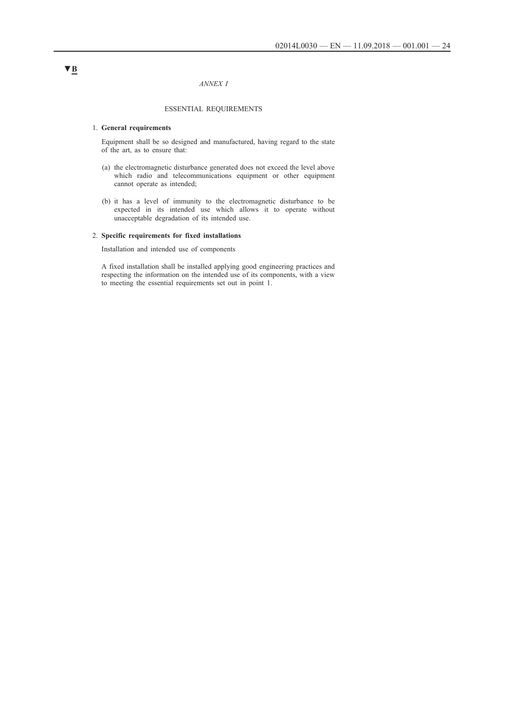#### *ANNEX I*

## ESSENTIAL REQUIREMENTS

#### 1. **General requirements**

Equipment shall be so designed and manufactured, having regard to the state of the art, as to ensure that:

- (a) the electromagnetic disturbance generated does not exceed the level above which radio and telecommunications equipment or other equipment cannot operate as intended;
- (b) it has a level of immunity to the electromagnetic disturbance to be expected in its intended use which allows it to operate without unacceptable degradation of its intended use.

## 2. **Specific requirements for fixed installations**

Installation and intended use of components

A fixed installation shall be installed applying good engineering practices and respecting the information on the intended use of its components, with a view to meeting the essential requirements set out in point 1.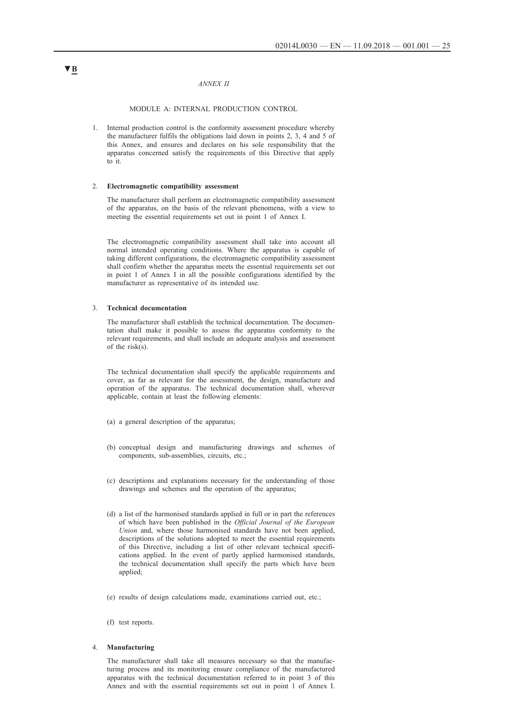#### *ANNEX II*

#### MODULE A: INTERNAL PRODUCTION CONTROL

1. Internal production control is the conformity assessment procedure whereby the manufacturer fulfils the obligations laid down in points 2, 3, 4 and 5 of this Annex, and ensures and declares on his sole responsibility that the apparatus concerned satisfy the requirements of this Directive that apply to it.

#### 2. **Electromagnetic compatibility assessment**

The manufacturer shall perform an electromagnetic compatibility assessment of the apparatus, on the basis of the relevant phenomena, with a view to meeting the essential requirements set out in point 1 of Annex I.

The electromagnetic compatibility assessment shall take into account all normal intended operating conditions. Where the apparatus is capable of taking different configurations, the electromagnetic compatibility assessment shall confirm whether the apparatus meets the essential requirements set out in point 1 of Annex I in all the possible configurations identified by the manufacturer as representative of its intended use.

### 3. **Technical documentation**

The manufacturer shall establish the technical documentation. The documentation shall make it possible to assess the apparatus conformity to the relevant requirements, and shall include an adequate analysis and assessment of the risk(s).

The technical documentation shall specify the applicable requirements and cover, as far as relevant for the assessment, the design, manufacture and operation of the apparatus. The technical documentation shall, wherever applicable, contain at least the following elements:

- (a) a general description of the apparatus;
- (b) conceptual design and manufacturing drawings and schemes of components, sub-assemblies, circuits, etc.;
- (c) descriptions and explanations necessary for the understanding of those drawings and schemes and the operation of the apparatus;
- (d) a list of the harmonised standards applied in full or in part the references of which have been published in the *Official Journal of the European Union* and, where those harmonised standards have not been applied, descriptions of the solutions adopted to meet the essential requirements of this Directive, including a list of other relevant technical specifications applied. In the event of partly applied harmonised standards, the technical documentation shall specify the parts which have been applied;
- (e) results of design calculations made, examinations carried out, etc.;
- (f) test reports.

### 4. **Manufacturing**

The manufacturer shall take all measures necessary so that the manufacturing process and its monitoring ensure compliance of the manufactured apparatus with the technical documentation referred to in point 3 of this Annex and with the essential requirements set out in point 1 of Annex I.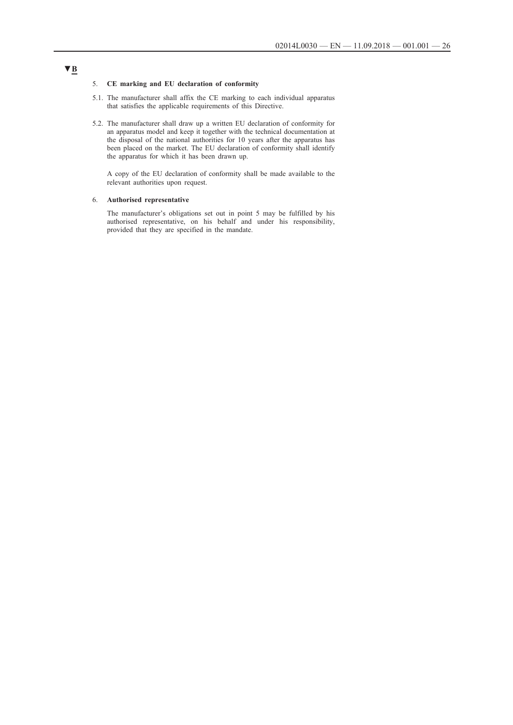## 5. **CE marking and EU declaration of conformity**

- 5.1. The manufacturer shall affix the CE marking to each individual apparatus that satisfies the applicable requirements of this Directive.
- 5.2. The manufacturer shall draw up a written EU declaration of conformity for an apparatus model and keep it together with the technical documentation at the disposal of the national authorities for 10 years after the apparatus has been placed on the market. The EU declaration of conformity shall identify the apparatus for which it has been drawn up.

A copy of the EU declaration of conformity shall be made available to the relevant authorities upon request.

#### 6. **Authorised representative**

The manufacturer's obligations set out in point 5 may be fulfilled by his authorised representative, on his behalf and under his responsibility, provided that they are specified in the mandate.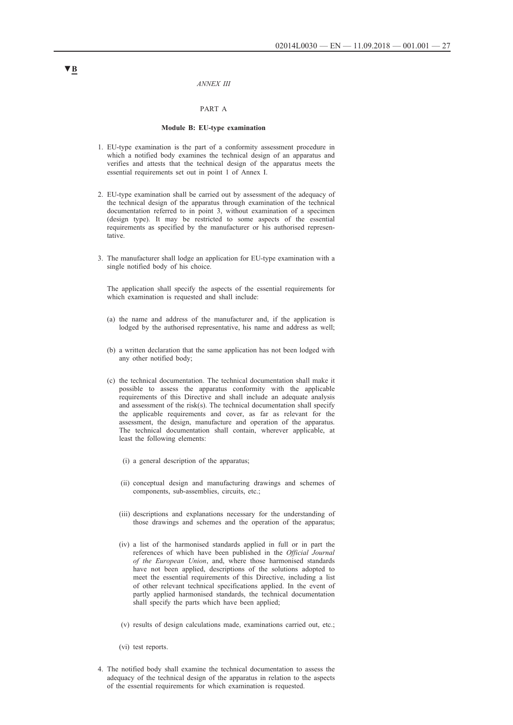#### *ANNEX III*

### PART A

#### **Module B: EU-type examination**

- 1. EU-type examination is the part of a conformity assessment procedure in which a notified body examines the technical design of an apparatus and verifies and attests that the technical design of the apparatus meets the essential requirements set out in point 1 of Annex I.
- 2. EU-type examination shall be carried out by assessment of the adequacy of the technical design of the apparatus through examination of the technical documentation referred to in point 3, without examination of a specimen (design type). It may be restricted to some aspects of the essential requirements as specified by the manufacturer or his authorised representative.
- 3. The manufacturer shall lodge an application for EU-type examination with a single notified body of his choice.

The application shall specify the aspects of the essential requirements for which examination is requested and shall include:

- (a) the name and address of the manufacturer and, if the application is lodged by the authorised representative, his name and address as well;
- (b) a written declaration that the same application has not been lodged with any other notified body;
- (c) the technical documentation. The technical documentation shall make it possible to assess the apparatus conformity with the applicable requirements of this Directive and shall include an adequate analysis and assessment of the risk(s). The technical documentation shall specify the applicable requirements and cover, as far as relevant for the assessment, the design, manufacture and operation of the apparatus. The technical documentation shall contain, wherever applicable, at least the following elements:
	- (i) a general description of the apparatus;
	- (ii) conceptual design and manufacturing drawings and schemes of components, sub-assemblies, circuits, etc.;
	- (iii) descriptions and explanations necessary for the understanding of those drawings and schemes and the operation of the apparatus;
	- (iv) a list of the harmonised standards applied in full or in part the references of which have been published in the *Official Journal of the European Union*, and, where those harmonised standards have not been applied, descriptions of the solutions adopted to meet the essential requirements of this Directive, including a list of other relevant technical specifications applied. In the event of partly applied harmonised standards, the technical documentation shall specify the parts which have been applied;
	- (v) results of design calculations made, examinations carried out, etc.;
	- (vi) test reports.
- 4. The notified body shall examine the technical documentation to assess the adequacy of the technical design of the apparatus in relation to the aspects of the essential requirements for which examination is requested.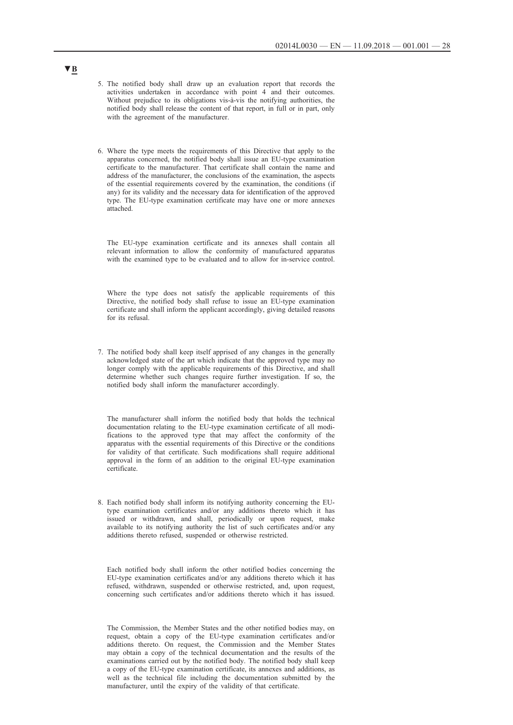- 5. The notified body shall draw up an evaluation report that records the activities undertaken in accordance with point 4 and their outcomes. Without prejudice to its obligations vis-à-vis the notifying authorities, the notified body shall release the content of that report, in full or in part, only with the agreement of the manufacturer.
- 6. Where the type meets the requirements of this Directive that apply to the apparatus concerned, the notified body shall issue an EU-type examination certificate to the manufacturer. That certificate shall contain the name and address of the manufacturer, the conclusions of the examination, the aspects of the essential requirements covered by the examination, the conditions (if any) for its validity and the necessary data for identification of the approved type. The EU-type examination certificate may have one or more annexes attached.

The EU-type examination certificate and its annexes shall contain all relevant information to allow the conformity of manufactured apparatus with the examined type to be evaluated and to allow for in-service control.

Where the type does not satisfy the applicable requirements of this Directive, the notified body shall refuse to issue an EU-type examination certificate and shall inform the applicant accordingly, giving detailed reasons for its refusal.

7. The notified body shall keep itself apprised of any changes in the generally acknowledged state of the art which indicate that the approved type may no longer comply with the applicable requirements of this Directive, and shall determine whether such changes require further investigation. If so, the notified body shall inform the manufacturer accordingly.

The manufacturer shall inform the notified body that holds the technical documentation relating to the EU-type examination certificate of all modifications to the approved type that may affect the conformity of the apparatus with the essential requirements of this Directive or the conditions for validity of that certificate. Such modifications shall require additional approval in the form of an addition to the original EU-type examination certificate.

8. Each notified body shall inform its notifying authority concerning the EUtype examination certificates and/or any additions thereto which it has issued or withdrawn, and shall, periodically or upon request, make available to its notifying authority the list of such certificates and/or any additions thereto refused, suspended or otherwise restricted.

Each notified body shall inform the other notified bodies concerning the EU-type examination certificates and/or any additions thereto which it has refused, withdrawn, suspended or otherwise restricted, and, upon request, concerning such certificates and/or additions thereto which it has issued.

The Commission, the Member States and the other notified bodies may, on request, obtain a copy of the EU-type examination certificates and/or additions thereto. On request, the Commission and the Member States may obtain a copy of the technical documentation and the results of the examinations carried out by the notified body. The notified body shall keep a copy of the EU-type examination certificate, its annexes and additions, as well as the technical file including the documentation submitted by the manufacturer, until the expiry of the validity of that certificate.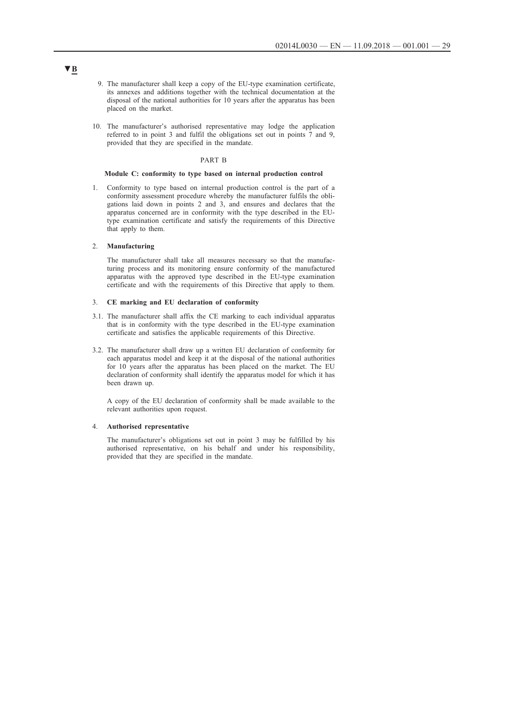- 9. The manufacturer shall keep a copy of the EU-type examination certificate, its annexes and additions together with the technical documentation at the disposal of the national authorities for 10 years after the apparatus has been placed on the market.
- 10. The manufacturer's authorised representative may lodge the application referred to in point 3 and fulfil the obligations set out in points 7 and 9, provided that they are specified in the mandate.

### PART B

### **Module C: conformity to type based on internal production control**

1. Conformity to type based on internal production control is the part of a conformity assessment procedure whereby the manufacturer fulfils the obligations laid down in points 2 and 3, and ensures and declares that the apparatus concerned are in conformity with the type described in the EUtype examination certificate and satisfy the requirements of this Directive that apply to them.

#### 2. **Manufacturing**

The manufacturer shall take all measures necessary so that the manufacturing process and its monitoring ensure conformity of the manufactured apparatus with the approved type described in the EU-type examination certificate and with the requirements of this Directive that apply to them.

#### 3. **CE marking and EU declaration of conformity**

- 3.1. The manufacturer shall affix the CE marking to each individual apparatus that is in conformity with the type described in the EU-type examination certificate and satisfies the applicable requirements of this Directive.
- 3.2. The manufacturer shall draw up a written EU declaration of conformity for each apparatus model and keep it at the disposal of the national authorities for 10 years after the apparatus has been placed on the market. The EU declaration of conformity shall identify the apparatus model for which it has been drawn up.

A copy of the EU declaration of conformity shall be made available to the relevant authorities upon request.

#### 4. **Authorised representative**

The manufacturer's obligations set out in point 3 may be fulfilled by his authorised representative, on his behalf and under his responsibility, provided that they are specified in the mandate.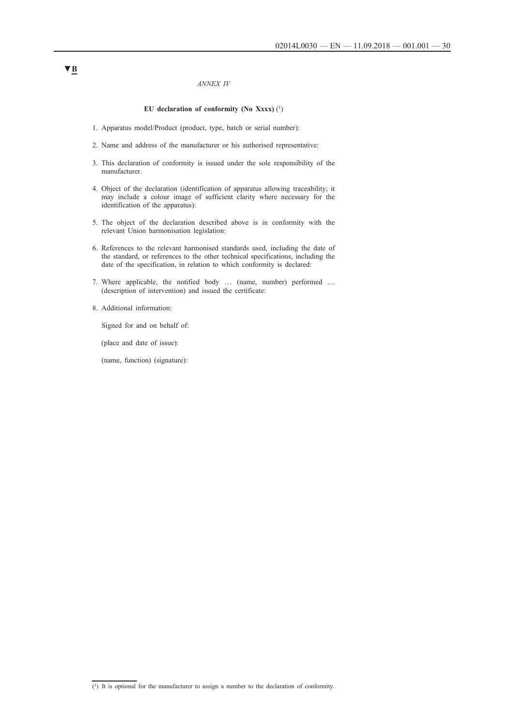#### *ANNEX IV*

### **EU declaration of conformity (No Xxxx)** (1)

- 1. Apparatus model/Product (product, type, batch or serial number):
- 2. Name and address of the manufacturer or his authorised representative:
- 3. This declaration of conformity is issued under the sole responsibility of the manufacturer.
- 4. Object of the declaration (identification of apparatus allowing traceability; it may include a colour image of sufficient clarity where necessary for the identification of the apparatus):
- 5. The object of the declaration described above is in conformity with the relevant Union harmonisation legislation:
- 6. References to the relevant harmonised standards used, including the date of the standard, or references to the other technical specifications, including the date of the specification, in relation to which conformity is declared:
- 7. Where applicable, the notified body … (name, number) performed … (description of intervention) and issued the certificate:
- 8. Additional information:

Signed for and on behalf of:

(place and date of issue):

(name, function) (signature):

 $\overline{(\cdot)}$  It is optional for the manufacturer to assign a number to the declaration of conformity.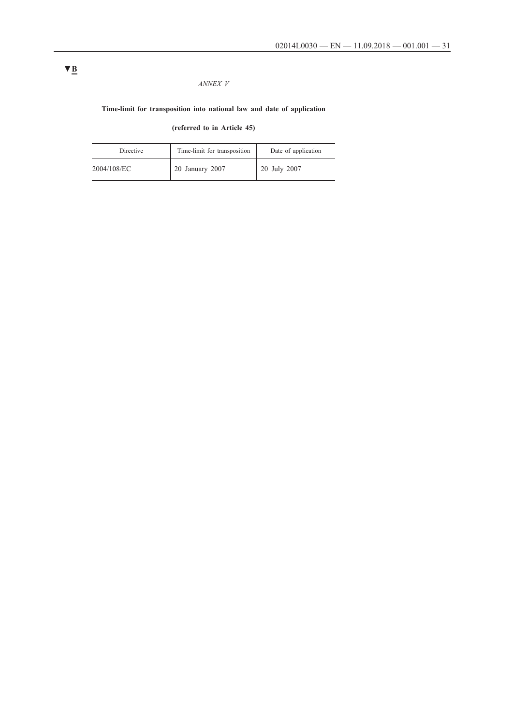## *ANNEX V*

## **Time-limit for transposition into national law and date of application**

**(referred to in Article 45)**

| Directive   | Time-limit for transposition | Date of application |
|-------------|------------------------------|---------------------|
| 2004/108/EC | 20 January 2007              | 20 July 2007        |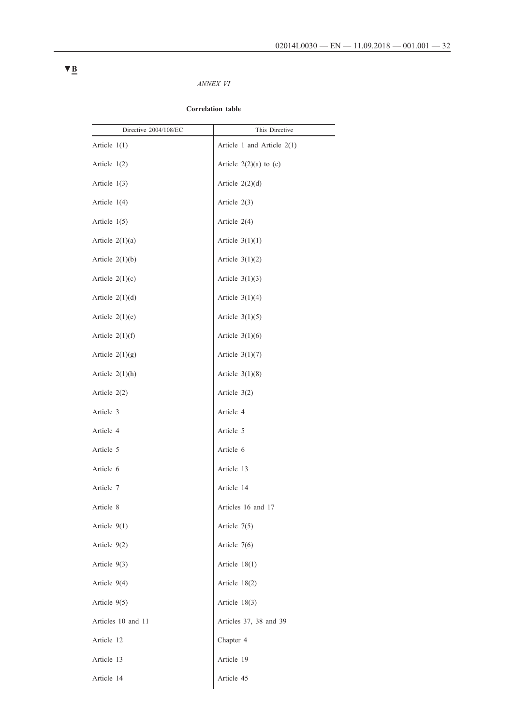## *ANNEX VI*

## **Correlation table**

| Directive 2004/108/EC | This Directive               |
|-----------------------|------------------------------|
| Article $1(1)$        | Article 1 and Article $2(1)$ |
| Article $1(2)$        | Article $2(2)(a)$ to $(c)$   |
| Article $1(3)$        | Article $2(2)(d)$            |
| Article $1(4)$        | Article $2(3)$               |
| Article $1(5)$        | Article $2(4)$               |
| Article $2(1)(a)$     | Article $3(1)(1)$            |
| Article $2(1)(b)$     | Article $3(1)(2)$            |
| Article $2(1)(c)$     | Article $3(1)(3)$            |
| Article $2(1)(d)$     | Article $3(1)(4)$            |
| Article $2(1)(e)$     | Article $3(1)(5)$            |
| Article $2(1)(f)$     | Article $3(1)(6)$            |
| Article $2(1)(g)$     | Article $3(1)(7)$            |
| Article $2(1)(h)$     | Article $3(1)(8)$            |
| Article 2(2)          | Article 3(2)                 |
| Article 3             | Article 4                    |
| Article 4             | Article 5                    |
| Article 5             | Article 6                    |
| Article 6             | Article 13                   |
| Article 7             | Article 14                   |
| Article 8             | Articles 16 and 17           |
| Article $9(1)$        | Article $7(5)$               |
| Article 9(2)          | Article 7(6)                 |
| Article 9(3)          | Article $18(1)$              |
| Article 9(4)          | Article 18(2)                |
| Article 9(5)          | Article 18(3)                |
| Articles 10 and 11    | Articles 37, 38 and 39       |
| Article 12            | Chapter 4                    |
| Article 13            | Article 19                   |
| Article 14            | Article 45                   |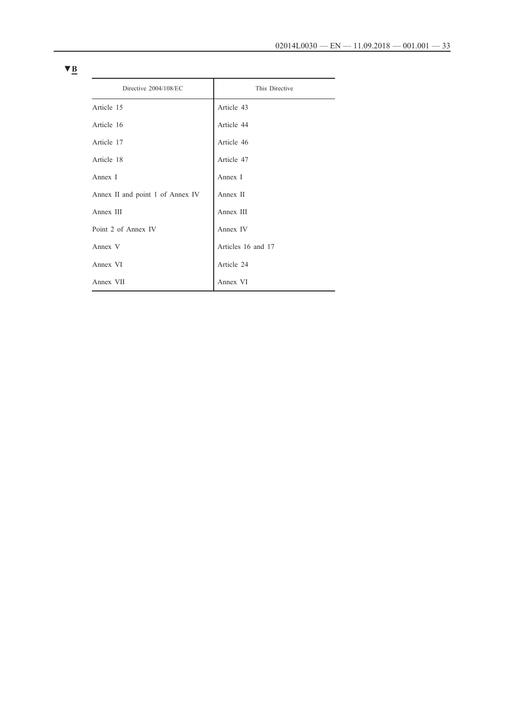| Directive 2004/108/EC            | This Directive     |  |
|----------------------------------|--------------------|--|
| Article 15                       | Article 43         |  |
| Article 16                       | Article 44         |  |
| Article 17                       | Article 46         |  |
| Article 18                       | Article 47         |  |
| Annex I                          | Annex I            |  |
| Annex II and point 1 of Annex IV | Annex II           |  |
| Annex III                        | Annex III          |  |
| Point 2 of Annex IV              | Annex IV           |  |
| Annex V                          | Articles 16 and 17 |  |
| Annex VI                         | Article 24         |  |
| Annex VII                        | Annex VI           |  |